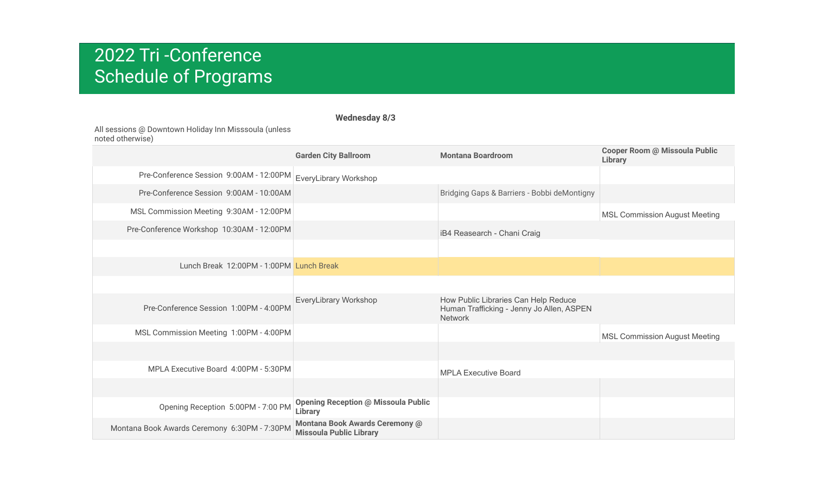### **Wednesday 8/3**

All sessions @ Downtown Holiday Inn Misssoula (unless noted otherwise)

|                                              | <b>Garden City Ballroom</b>                                      | <b>Montana Boardroom</b>                                                                            | <b>Cooper Room @ Missoula Public</b><br><b>Library</b> |
|----------------------------------------------|------------------------------------------------------------------|-----------------------------------------------------------------------------------------------------|--------------------------------------------------------|
| Pre-Conference Session 9:00AM - 12:00PM      | EveryLibrary Workshop                                            |                                                                                                     |                                                        |
| Pre-Conference Session 9:00AM - 10:00AM      |                                                                  | Bridging Gaps & Barriers - Bobbi deMontigny                                                         |                                                        |
| MSL Commission Meeting 9:30AM - 12:00PM      |                                                                  |                                                                                                     | <b>MSL Commission August Meeting</b>                   |
| Pre-Conference Workshop 10:30AM - 12:00PM    |                                                                  | iB4 Reasearch - Chani Craig                                                                         |                                                        |
|                                              |                                                                  |                                                                                                     |                                                        |
| Lunch Break 12:00PM - 1:00PM Lunch Break     |                                                                  |                                                                                                     |                                                        |
|                                              |                                                                  |                                                                                                     |                                                        |
| Pre-Conference Session 1:00PM - 4:00PM       | EveryLibrary Workshop                                            | How Public Libraries Can Help Reduce<br>Human Trafficking - Jenny Jo Allen, ASPEN<br><b>Network</b> |                                                        |
| MSL Commission Meeting 1:00PM - 4:00PM       |                                                                  |                                                                                                     | <b>MSL Commission August Meeting</b>                   |
|                                              |                                                                  |                                                                                                     |                                                        |
| MPLA Executive Board 4:00PM - 5:30PM         |                                                                  | <b>MPLA Executive Board</b>                                                                         |                                                        |
|                                              |                                                                  |                                                                                                     |                                                        |
| Opening Reception 5:00PM - 7:00 PM           | <b>Opening Reception @ Missoula Public</b><br><b>Library</b>     |                                                                                                     |                                                        |
| Montana Book Awards Ceremony 6:30PM - 7:30PM | Montana Book Awards Ceremony @<br><b>Missoula Public Library</b> |                                                                                                     |                                                        |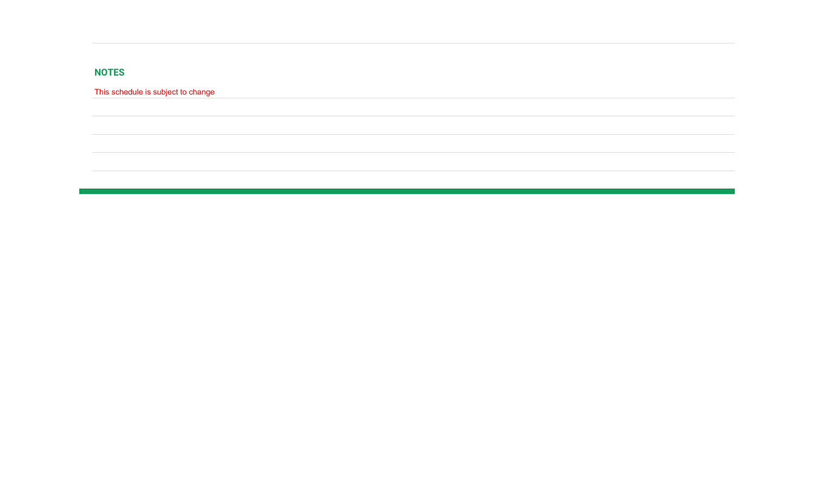### **NOTES**

This schedule is subject to change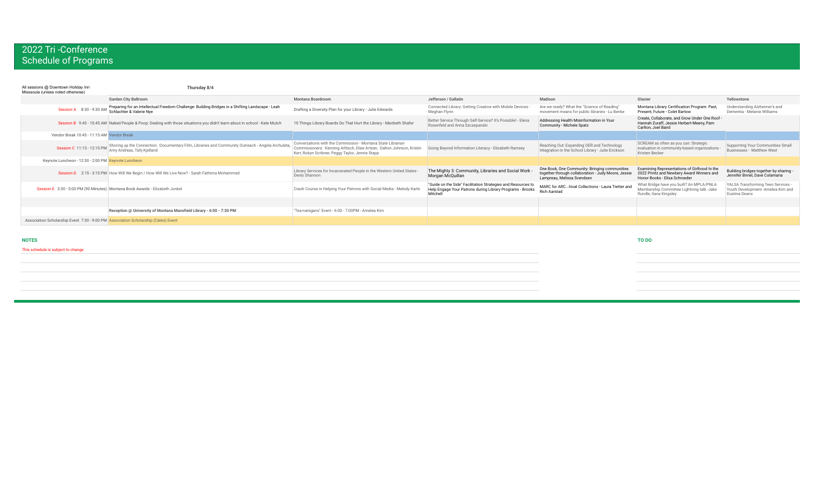| All sessions @ Downtown Holiday Inn<br>Misssoula (unless noted otherwise)          | Thursday 8/4                                                                                                                    |                                                                                                                                                                                           |                                                                                                                                       |                                                                                                                                    |                                                                                                                            |                                                                                                 |
|------------------------------------------------------------------------------------|---------------------------------------------------------------------------------------------------------------------------------|-------------------------------------------------------------------------------------------------------------------------------------------------------------------------------------------|---------------------------------------------------------------------------------------------------------------------------------------|------------------------------------------------------------------------------------------------------------------------------------|----------------------------------------------------------------------------------------------------------------------------|-------------------------------------------------------------------------------------------------|
|                                                                                    | <b>Garden City Ballroom</b>                                                                                                     | <b>Montana Boardroom</b>                                                                                                                                                                  | Jefferson / Gallatin                                                                                                                  | Madison                                                                                                                            | Glacier                                                                                                                    | Yellowstone                                                                                     |
| Session A 8:30 - 9:30 AM                                                           | Preparing for an Intellectual Freedom Challenge: Building Bridges in a Shifting Landscape - Leah<br>Schlachter & Valerie Nye    | Drafting a Diversity Plan for your Library - Julie Edwards                                                                                                                                | Connected Library: Getting Creative with Mobile Devices -<br>Meghan Flynn                                                             | Are we ready? What the "Science of Reading"<br>movement means for public libraries - Lu Benke                                      | Montana Library Certification Program: Past,<br>Present, Future - Colet Bartow                                             | Understanding Alzheimer's and<br>Dementia - Melanie Williams                                    |
|                                                                                    | Session B 9:45 - 10:45 AM Naked People & Poop: Dealing with those situations you didn't learn about in school - Kate Mutch      | 10 Things Library Boards Do That Hurt the Library - Maribeth Shafer                                                                                                                       | Better Service Through Self-Service? It's Possible! - Elena<br>Rosenfeld and Anna Szczepanski                                         | Addressing Health Misinformation in Your<br>Community - Michele Spatz                                                              | Create, Collaborate, and Grow Under One Roof -<br>Hannah Zuraff, Jessie Herbert-Meeny, Pam<br>Carlton, Joel Baird          |                                                                                                 |
| Vendor Break 10:45 - 11:15 AM Vendor Break                                         |                                                                                                                                 |                                                                                                                                                                                           |                                                                                                                                       |                                                                                                                                    |                                                                                                                            |                                                                                                 |
| Session C 11:15 - 12:15 PM                                                         | Shoring up the Connection: Documentary Film, Libraries and Community Outreach - Angela Archuleta,<br>Amy Andreas, Tahj Kjelland | Conversations with the Commission - Montana State Librarian<br>Commissioners: Kenning Arlitsch, Elsie Artzen, Dalton Johnson, Kristin<br>Kerr, Robyn Scribner, Peggy Taylor, Jennie Stapp | Going Beyond Information Literacy - Elizabeth Ramsey                                                                                  | Reaching Out: Expanding OER and Technology<br>Integration in the School Library - Julie Erickson                                   | SCREAM as often as you can: Strategic<br>evaluation in community-based organizations<br>Kristen Becker                     | Supporting Your Communities Small<br>Businesses - Matthew West                                  |
| Keynote Luncheon - 12:30 - 2:00 PM Keynote Luncheon                                |                                                                                                                                 |                                                                                                                                                                                           |                                                                                                                                       |                                                                                                                                    |                                                                                                                            |                                                                                                 |
|                                                                                    | Session D 2:15 - 3:15 PM How Will We Begin / How Will We Live Now? - Sarah Fathima Mohammed                                     | Library Services for Incarcerated People in the Western United States<br>Denis Shannon                                                                                                    | The Mighty 3: Community, Libraries and Social Work -<br>Morgan McQuillan                                                              | One Book, One Community: Bringing communities<br>together through collaboration - Judy Moore, Jessie<br>Lampreau, Melissa Svendsen | Examining Representations of Girlhood In the<br>2022 Printz and Newbery Award Winners and<br>Honor Books - Elisa Schroeder | Building bridges together by sharing -<br>Jennifer Birnel, Dave Colamaria                       |
|                                                                                    | Session E 3:30 - 5:00 PM (90 Minutes) Montana Book Awards - Elizabeth Jonkel                                                    | Crash Course in Helping Your Patrons with Social Media - Melody Karle                                                                                                                     | "Guide on the Side" Facilitation Strategies and Resources to<br>Help Engage Your Patrons during Library Programs - Brooks<br>Mitchell | MARC for ARChival Collections - Laura Tretter and<br><b>Rich Aarstad</b>                                                           | What Bridge have you built? An MPLA/PNLA<br>Membership Committee Lightning talk -Jake<br>Rundle, Ilana Kingsley            | YALSA Transforming Teen Services -<br>Youth Development -Amelea Kim and<br><b>Dustina Deans</b> |
|                                                                                    |                                                                                                                                 |                                                                                                                                                                                           |                                                                                                                                       |                                                                                                                                    |                                                                                                                            |                                                                                                 |
|                                                                                    | Reception @ University of Montana Mansfield Library - 6:00 - 7:30 PM                                                            | "Tea-nanigans" Event - 6:00 - 7:00PM - Amelea Kim                                                                                                                                         |                                                                                                                                       |                                                                                                                                    |                                                                                                                            |                                                                                                 |
| Association Scholarship Event 7:30 - 9:00 PM Association Scholarship (Cates) Event |                                                                                                                                 |                                                                                                                                                                                           |                                                                                                                                       |                                                                                                                                    |                                                                                                                            |                                                                                                 |

#### **NOTES TO DO**

### This schedule is subject to change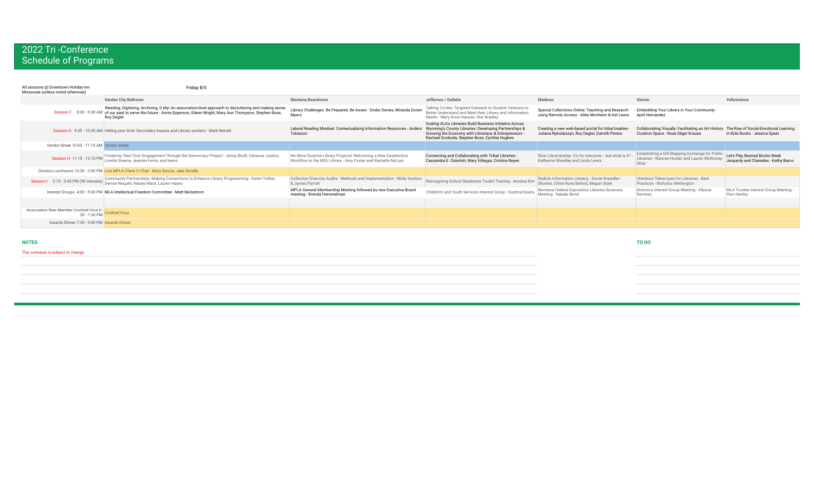| All sessions @ Downtown Holiday Inn<br>Misssoula (unless noted otherwise) | Friday 8/5                                                                                                                                                                                                                                    |                                                                                                                                |                                                                                                                                                                                                                             |                                                                                                       |                                                                                                          |                                                                        |
|---------------------------------------------------------------------------|-----------------------------------------------------------------------------------------------------------------------------------------------------------------------------------------------------------------------------------------------|--------------------------------------------------------------------------------------------------------------------------------|-----------------------------------------------------------------------------------------------------------------------------------------------------------------------------------------------------------------------------|-------------------------------------------------------------------------------------------------------|----------------------------------------------------------------------------------------------------------|------------------------------------------------------------------------|
|                                                                           | <b>Garden City Ballroom</b>                                                                                                                                                                                                                   | <b>Montana Boardroom</b>                                                                                                       | Jefferson / Gallatin                                                                                                                                                                                                        | Madison                                                                                               | Glacier                                                                                                  | Yellowstone                                                            |
|                                                                           | Weeding, Digitizing, Archiving, O My! An association-level approach to decluttering and making sense<br>8:30 - 9:30 AM of our past to serve the future - Annie Epperson, Eileen Wright, Mary Ann Thompson, Stephen Boss,<br><b>Roy Degler</b> | Library Challenges: Be Prepared, Be Aware - Dodie Ownes, Miranda Doran-<br>Myers                                               | Talking Circles: Targeted Outreach to Student Veterans to<br>Better Understand and Meet their Library and Information<br>Needs - Mary Anne Hansen, Star Bradley                                                             | Special Collections Online: Teaching and Research<br>using Remote Access - Allee Monheim & Kat Lewis  | Embedding Your Library in Your Community -<br>April Hernandez                                            |                                                                        |
|                                                                           | Session G 9:45 - 10:45 AM Hitting your limit: Secondary trauma and Library workers - Mark Reinelt                                                                                                                                             | Lateral Reading Mindset: Contextualizing Information Resources - Anders<br>Tobiason                                            | Scaling ALA's Libraries Build Business Initiative Across<br>Wyoming's County Libraries: Developing Partnerships &<br>Growing the Economy with Librarians & Entrepreneurs -<br>Rachael Svoboda, Stephen Boss, Cynthia Hughes | Creating a new web-based portal for tribal treaties<br>Juliana Nykolaiszyn, Roy Degler, Damith Perera | Collaborating Visually: Facilitating an Art History<br>Curation Space - Rose Sliger Krause               | The Rise of Social-Emotional Learning<br>in Kids Books - Jessica Speer |
| Vendor Break 10:45 - 11:15 AM Vendor Break                                |                                                                                                                                                                                                                                               |                                                                                                                                |                                                                                                                                                                                                                             |                                                                                                       |                                                                                                          |                                                                        |
| Session H 11:15 - 12:15 PM                                                | Fostering Teen Civic Engagement Through the Democracy Project - Jenny Bevill, Vanessa Justice,<br>Linette Greene, Jeannie Ferris, and teens                                                                                                   | No More Surprise Library Projects! Welcoming a New Deselection<br>Workflow to the MSU Library - Amy Foster and Rachelle McLain | Connecting and Collaborating with Tribal Libraries -<br>Cassandra E. Osterloh, Mary Villegas, Cristina Reyes                                                                                                                | Slow Librarianship: It's for everyone - but what is it?<br>Katherine Weadley and Linda Lewis          | Establishing a GIS-Mapping Exchange for Public<br>Libraries - Nancee Hunter and Lauren McKinney-<br>Wise | Let's Play Banned Books Week<br>Jeopardy and Charades - Kathy Barco    |
|                                                                           | Division Luncheons 12:30 - 2:00 PM Live MPLA Chew 'n' Chat - Mary Soucie, Jake Rundle                                                                                                                                                         |                                                                                                                                |                                                                                                                                                                                                                             |                                                                                                       |                                                                                                          |                                                                        |
|                                                                           | Session I 2:15 - 3:45 PM (90 minutes) Community Partnerships: Making Connections to Enhance Library Programming - Karen Yother,                                                                                                               | Collection Diversity Audits - Methods and Implementation - Molly Hudson<br>& James Parrott                                     | Reimagining School Readiness Toolkit Training - Amelea Kim                                                                                                                                                                  | Radicle Information Literacy - Xavier Kneedler-<br>Shorten, Chloe Runs Behind, Megan Stark            | Checkout Telescopes for Libraries - Best<br>Practices - Nicholos Wethington                              |                                                                        |
|                                                                           | Interest Groups 4:00 - 5:00 PM MLA Intellectual Freedom Committee - Matt Beckstrom                                                                                                                                                            | MPLA General Membership Meeting followed by new Executive Board<br>meeting - Brenda Hemmelman                                  | Children's and Youth Services Interest Group - Dustina Deans                                                                                                                                                                | Montana Federal Depository Libraries Business<br>Meeting - Natalie Bond                               | Directors Interest Group Meeting - Allyssa<br>Ramirez                                                    | MLA Trustee Interest Group Meeting -<br>Pam Henley                     |
| Association New Member Cocktail Hour 6: Cocktail Hour<br>30 - 7:30 PM     |                                                                                                                                                                                                                                               |                                                                                                                                |                                                                                                                                                                                                                             |                                                                                                       |                                                                                                          |                                                                        |
| Awards Dinner 7:30 - 9:00 PM Awards Dinner                                |                                                                                                                                                                                                                                               |                                                                                                                                |                                                                                                                                                                                                                             |                                                                                                       |                                                                                                          |                                                                        |

**NOTES TO DO**

This schedule is subject to change